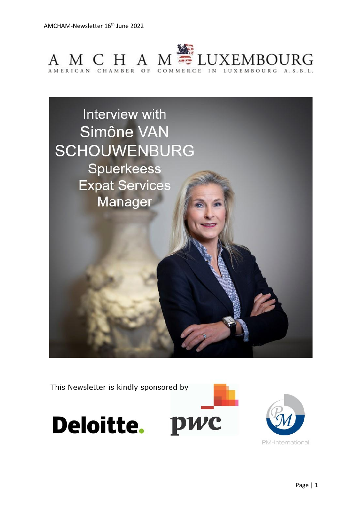



This Newsletter is kindly sponsored by





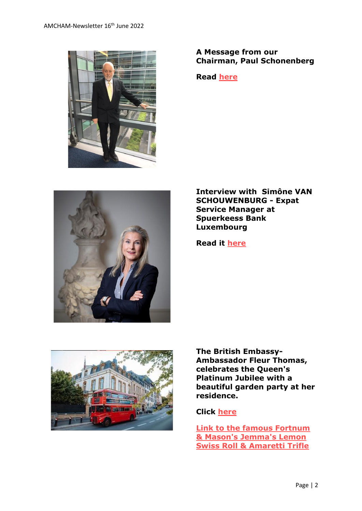

## **A Message from our Chairman, Paul Schonenberg**

**Read [here](https://www.amcham.lu/newsletter/chairmans-remarks-16th-june-2022/)**



**Interview with Simône VAN SCHOUWENBURG - Expat Service Manager at Spuerkeess Bank Luxembourg**

**Read it [here](https://www.amcham.lu/newsletter/interview-with-simone-van-schouwenburg/)**



**The British Embassy-Ambassador Fleur Thomas, celebrates the Queen's Platinum Jubilee with a beautiful garden party at her residence.**

## **Click [here](https://www.amcham.lu/newsletter/the-british-embassy-celebrates-the-queens-platinum-jubilee/)**

**[Link to the famous Fortnum](https://www.fortnumandmason.com/media/fortnums/blogpost/pdf/jemmas-lemon-swiss-roll-amarettii-trifle.pdf)  [& Mason's Jemma's Lemon](https://www.fortnumandmason.com/media/fortnums/blogpost/pdf/jemmas-lemon-swiss-roll-amarettii-trifle.pdf)  [Swiss Roll & Amaretti Trifle](https://www.fortnumandmason.com/media/fortnums/blogpost/pdf/jemmas-lemon-swiss-roll-amarettii-trifle.pdf)**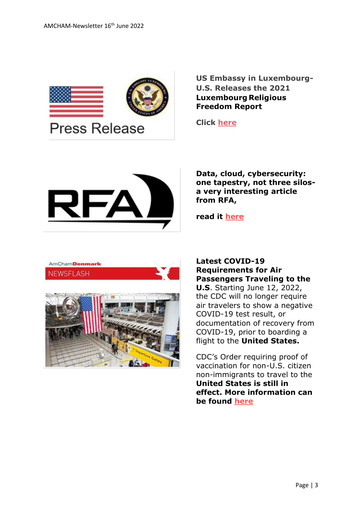

**US Embassy in Luxembourg-U.S. Releases the 2021 Luxembourg Religious Freedom Report**

**Click [here](https://www.amcham.lu/u-s-releases-the-2021-luxembourg-religious-freedom-report/)**



**Data, cloud, cybersecurity: one tapestry, not three silosa very interesting article from RFA,** 

**read it [here](https://www.amcham.lu/newsletter/rfa-data-cloud-cybersecurity-one-tapestry-not-three-silos/)**





#### **Latest COVID-19 Requirements for Air Passengers Traveling to the**

**U.S**. Starting June 12, 2022, the CDC will no longer require air travelers to show a negative COVID-19 test result, or documentation of recovery from COVID-19, prior to boarding a flight to the **United States.**

CDC's Order requiring proof of vaccination for non-U.S. citizen non-immigrants to travel to the **United States is still in effect. More information can be found [here](https://www.cdc.gov/coronavirus/2019-ncov/travelers/proof-of-vaccination.html)**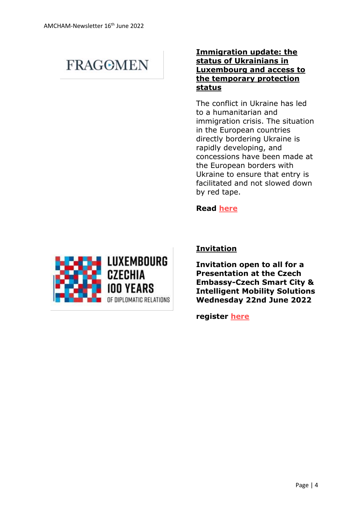# **FRAGOMEN**

## **Immigration update: the status of Ukrainians in Luxembourg and access to the temporary protection status**

The conflict in Ukraine has led to a humanitarian and immigration crisis. The situation in the European countries directly bordering Ukraine is rapidly developing, and concessions have been made at the European borders with Ukraine to ensure that entry is facilitated and not slowed down by red tape.

**Read [here](https://www.amcham.lu/newsletter/immigration-update-the-status-of-ukrainians-in-luxembourg-and-access-to-the-temporary-protection-status/)**



# **Invitation**

**Invitation open to all for a Presentation at the Czech Embassy-Czech Smart City & Intelligent Mobility Solutions Wednesday 22nd June 2022** 

**register [here](mailto:mailtocommerce_hague@mzv.cz)**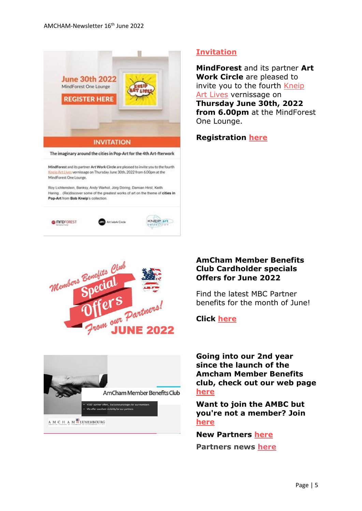

The imaginary around the cities in Pop-Art for the 4th Art-fterwork

MindForest and its partner Art Work Circle are pleased to invite you to the fourth Kneip Art Lives vernissage on Thursday June 30th, 2022 from 6.00pm at the MindForest One Lounge

Roy Lichtenstein, Banksy, Andy Warhol, Jorg Doring, Damian Hirst, Keith Haring... (Re)discover some of the greatest works of art on the theme of cities in Pop-Art from Bob Kneip's collection.







#### **[Invitation](https://us10.campaign-archive.com/?e=__test_email__&u=2479003d7718791cf06636d37&id=ffd15b1ef6)**

**MindForest** and its partner **Art Work Circle** are pleased to invite you to the fourth [Kneip](https://www.artworkcircle.lu/kneip-art-lives-exhibitions-series/?lang=en)  [Art Lives](https://www.artworkcircle.lu/kneip-art-lives-exhibitions-series/?lang=en) vernissage on **Thursday June 30th, 2022 from 6.00pm** at the MindForest One Lounge.

**Registration [here](mailto:charlotte.leroy@artworkcircle.lu)**

#### **AmCham Member Benefits Club Cardholder specials Offers for June 2022**

Find the latest MBC Partner benefits for the month of June!

**Click [here](https://www.amcham.lu/ambc-special-offers-june-2022/)**

**Going into our 2nd year since the launch of the Amcham Member Benefits club, check out our web page [here](https://www.amcham.lu/amcham-benefits-club/)**

**Want to join the AMBC but you're not a member? Join [here](https://www.amcham.lu/amcham-benefits-club/ambc-card-for-non-members/)**

**New Partners [here](https://www.amcham.lu/newsletter/new-mbc-partners-as-of-16th-june-2022/) Partners news [here](https://www.amcham.lu/newsletter/mbc-partner-news/)**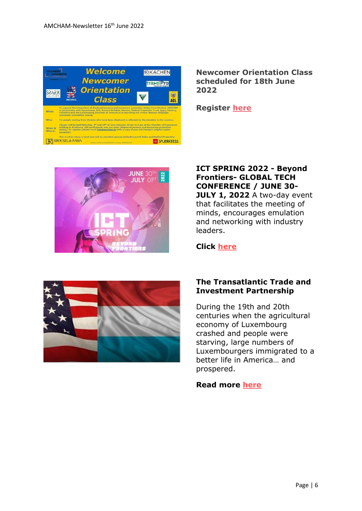

**Newcomer Orientation Class scheduled for 18th June 2022**

**Register [here](https://www.amcham.lu/events/newcomer-orientation-courses-in-support-of-ukrainian-displaced-persons-and-temporary-protection-status-5/)**



**ICT SPRING 2022 - Beyond Frontiers- GLOBAL TECH CONFERENCE / JUNE 30- JULY 1, 2022** A two-day event that facilitates the meeting of minds, encourages emulation and networking with industry leaders.

## **Click [here](https://www.ictspring.com/)**



#### **The Transatlantic Trade and Investment Partnership**

During the 19th and 20th centuries when the agricultural economy of Luxembourg crashed and people were starving, large numbers of Luxembourgers immigrated to a better life in America… and prospered.

## **Read more [here](https://www.luxtimes.lu/en/sponsored/the-transatlantic-trade-and-investment-partnership-62a751f2de135b92361e52d2)**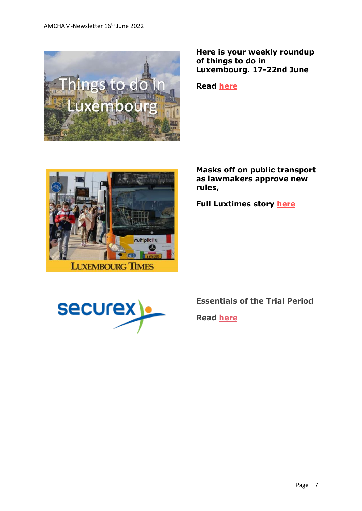

**Here is your weekly roundup of things to do in Luxembourg. 17-22nd June**

**Read [here](https://www.amcham.lu/newsletter/things-to-do-in-luxembourg-from-17th-22nd-june/)**



**Masks off on public transport as lawmakers approve new rules,**

**Full Luxtimes story [here](https://www.luxtimes.lu/en/luxembourg/masks-off-on-public-transport-as-lawmakers-approve-new-rules-62a1bef8de135b9236b70eac?utm_source=amcham_newsletter_&utm_medium=amcham_newsletter_&utm_term=amcham_newsletter_article_&utm_content=article_&utm_campaign=LT_AMCHAM_2022)**



# **Essentials of the Trial Period**

**Read [here](https://www.amcham.lu/newsletter/securex-essentials-of-the-trial-period/)**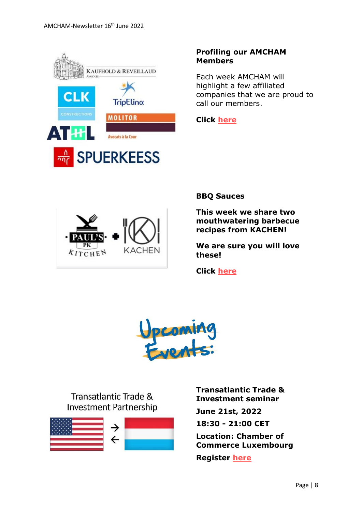

# **Profiling our AMCHAM Members**

Each week AMCHAM will highlight a few affiliated companies that we are proud to call our members.

**Click [here](https://www.amcham.lu/newsletter/profiling-our-amcham-members-16th-june-2022/)**



**BBQ Sauces**

**This week we share two mouthwatering barbecue recipes from KACHEN!**

**We are sure you will love these!**

**Click [here](https://www.amcham.lu/newsletter/recipe-for-the-16th-of-june-2022/)**



Transatlantic Trade & **Investment Partnership** 



**Transatlantic Trade & Investment seminar**

**June 21st, 2022**

**18:30 - 21:00 CET**

**Location: Chamber of Commerce Luxembourg**

**Register [here](https://www.amcham.lu/events/transatlantic-trade-and-investment/)**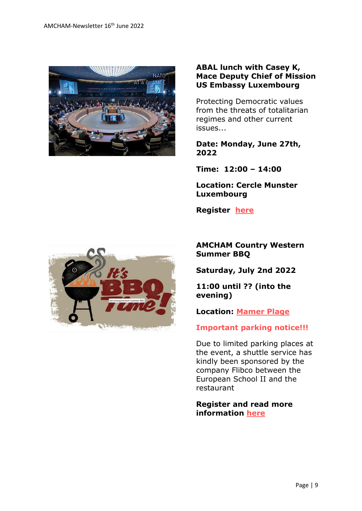

## **ABAL lunch with Casey K, Mace Deputy Chief of Mission US Embassy Luxembourg**

Protecting Democratic values from the threats of totalitarian regimes and other current issues...

**Date: Monday, June 27th, 2022**

**Time: 12:00 – 14:00**

**Location: Cercle Munster Luxembourg**

**Register [here](https://www.amcham.lu/events/agenda-and-objectives-of-nato-annual-conference-protecting-european-and-american-values-from-the-threats-of-totalitarian-regimes-and-other-current-issues/)**



**AMCHAM Country Western Summer BBQ**

**Saturday, July 2nd 2022**

**11:00 until ?? (into the evening)**

**Location: [Mamer Plage](https://www.mamerplage.lu/)**

## **Important parking notice!!!**

Due to limited parking places at the event, a shuttle service has kindly been sponsored by the company Flibco between the European School II and the restaurant

**Register and read more information [here](https://www.amcham.lu/events/amcham-summer-bbq/)**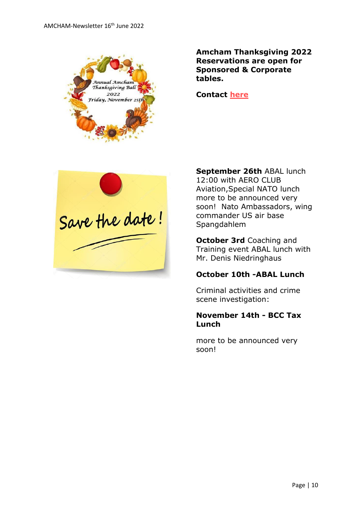

**Amcham Thanksgiving 2022 Reservations are open for Sponsored & Corporate tables.** 

**Contact [here](mailto:daniel@amcham.lu)**



**September 26th** ABAL lunch 12:00 with AERO CLUB Aviation,Special NATO lunch more to be announced very soon! Nato Ambassadors, wing commander US air base Spangdahlem

**October 3rd** Coaching and Training event ABAL lunch with Mr. Denis Niedringhaus

## **October 10th -ABAL Lunch**

Criminal activities and crime scene investigation:

## **November 14th - BCC Tax Lunch**

more to be announced very soon!